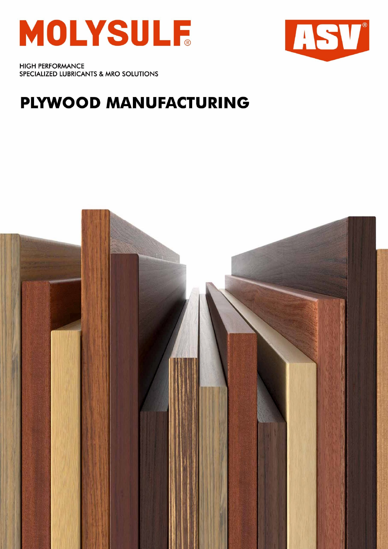



**HIGH PERFORMANCE** SPECIALIZED LUBRICANTS & MRO SOLUTIONS

# PLYWOOD MANUFACTURING